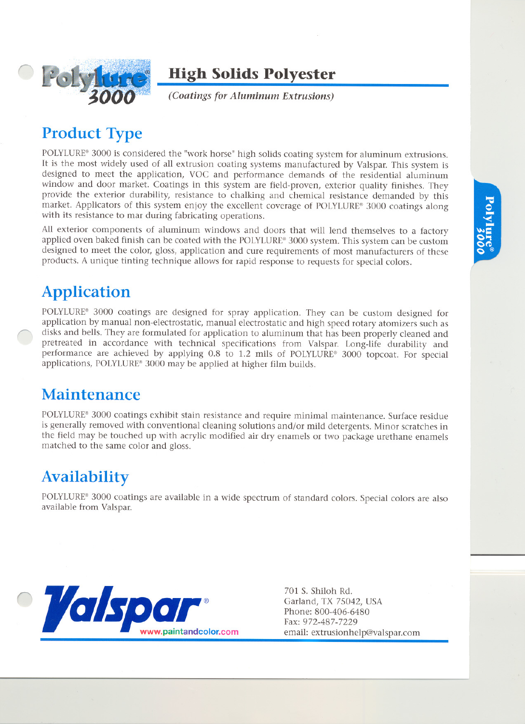

### **High Solids Polyester**

*(Coatings for Aluminum Extrusions)*

# **Product Type**

POLYLURE® 3000 is considered the "work horse" high solids coating system for aluminum extrusions. It is the most widely used of all extrusion coating systems manufactured by Valspar. This system is designed to meet the application, VOC and performance demands of the residential aluminum window and door market. Coatings in this system are field-proven, exterior quality finishes. They provide the exterior durability, resistance to chalking and chemical resistance demanded by this market. Applicators of this system enjoy the excellent coverage of POLYLURE® 3000 coatings along with its resistance to mar during fabricating operations.

All exterior components of aluminum windows and doors that will lend themselves to a factory applied oven baked finish can be coated with the POLYLURE® 3000 system. This system can be custom designed to meet the color, gloss, application and cure requirements of most manufacturers of these products. A unique tinting technique allows for rapid response to requests for special colors.

# **Application**

POLYLURE® 3000 coatings are designed for spray application. They can be custom designed for application by manual non-electrostatic, manual electrostatic and high speed rotary atomizers such as disks and bells. They are formulated for application to aluminum that has been properly cleaned and pretreated in accordance with technical specifications from Valspar. Long-life durability and performance are achieved by applying 0.8 to 1.2 mils of POLYLURE® 3000 topcoat. For special applications, POLYLURE® 3000 may be applied at higher film builds.

## **Maintenance**

POLYLURE® 3000 coatings exhibit stain resistance and require minimal maintenance. Surface residue is generally removed with conventional cleaning solutions and/or mild detergents. Minor scratches in the field may be touched up with acrylic modified air dry enamels or two package urethane enamels matched to the same color and gloss.

# **Availability**

POLYLURE® 3000 coatings are available in a wide spectrum of standard colors. Special colors are also available from Valspar.



701 S. Shiloh Rd. Garland, TX 75042, USA Phone: 800-406-6480 Fax: 972-487-7229 email: extrusionhelp@Valspar.com